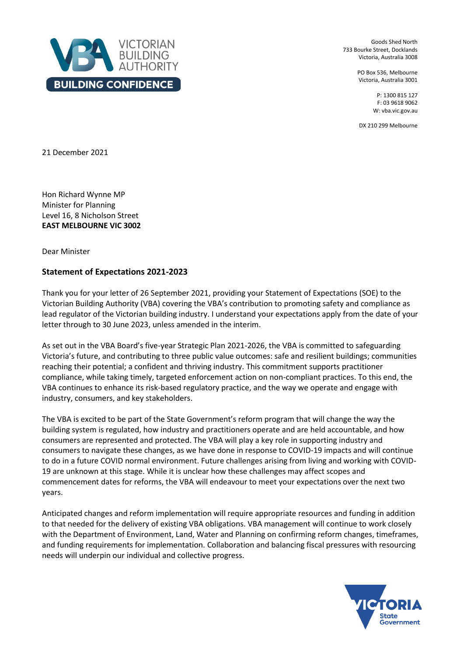

Goods Shed North 733 Bourke Street, Docklands Victoria, Australia 3008

> PO Box 536, Melbourne Victoria, Australia 3001

> > P: 1300 815 127 F: 03 9618 9062 W: vba.vic.gov.au

DX 210 299 Melbourne

21 December 2021

Hon Richard Wynne MP Minister for Planning Level 16, 8 Nicholson Street **EAST MELBOURNE VIC 3002**

Dear Minister

## **Statement of Expectations 2021-2023**

Thank you for your letter of 26 September 2021, providing your Statement of Expectations (SOE) to the Victorian Building Authority (VBA) covering the VBA's contribution to promoting safety and compliance as lead regulator of the Victorian building industry. I understand your expectations apply from the date of your letter through to 30 June 2023, unless amended in the interim.

As set out in the VBA Board's five-year Strategic Plan 2021-2026, the VBA is committed to safeguarding Victoria's future, and contributing to three public value outcomes: safe and resilient buildings; communities reaching their potential; a confident and thriving industry. This commitment supports practitioner compliance, while taking timely, targeted enforcement action on non-compliant practices. To this end, the VBA continues to enhance its risk-based regulatory practice, and the way we operate and engage with industry, consumers, and key stakeholders.

The VBA is excited to be part of the State Government's reform program that will change the way the building system is regulated, how industry and practitioners operate and are held accountable, and how consumers are represented and protected. The VBA will play a key role in supporting industry and consumers to navigate these changes, as we have done in response to COVID-19 impacts and will continue to do in a future COVID normal environment. Future challenges arising from living and working with COVID-19 are unknown at this stage. While it is unclear how these challenges may affect scopes and commencement dates for reforms, the VBA will endeavour to meet your expectations over the next two years.

Anticipated changes and reform implementation will require appropriate resources and funding in addition to that needed for the delivery of existing VBA obligations. VBA management will continue to work closely with the Department of Environment, Land, Water and Planning on confirming reform changes, timeframes, and funding requirements for implementation. Collaboration and balancing fiscal pressures with resourcing needs will underpin our individual and collective progress.